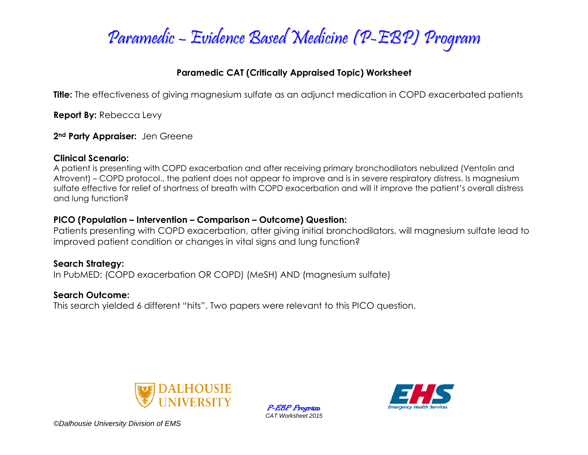

### **Paramedic CAT (Critically Appraised Topic) Worksheet**

**Title:** The effectiveness of giving magnesium sulfate as an adjunct medication in COPD exacerbated patients

**Report By:** Rebecca Levy

**2nd Party Appraiser:** Jen Greene

#### **Clinical Scenario:**

A patient is presenting with COPD exacerbation and after receiving primary bronchodilators nebulized (Ventolin and Atrovent) – COPD protocol., the patient does not appear to improve and is in severe respiratory distress. Is magnesium sulfate effective for relief of shortness of breath with COPD exacerbation and will it improve the patient's overall distress and lung function?

### **PICO (Population – Intervention – Comparison – Outcome) Question:**

Patients presenting with COPD exacerbation, after giving initial bronchodilators, will magnesium sulfate lead to improved patient condition or changes in vital signs and lung function?

### **Search Strategy:**

In PubMED: (COPD exacerbation OR COPD) (MeSH) AND (magnesium sulfate)

#### **Search Outcome:**

This search yielded 6 different "hits". Two papers were relevant to this PICO question.



P-EBP Program *CAT Worksheet 2015*



*©Dalhousie University Division of EMS*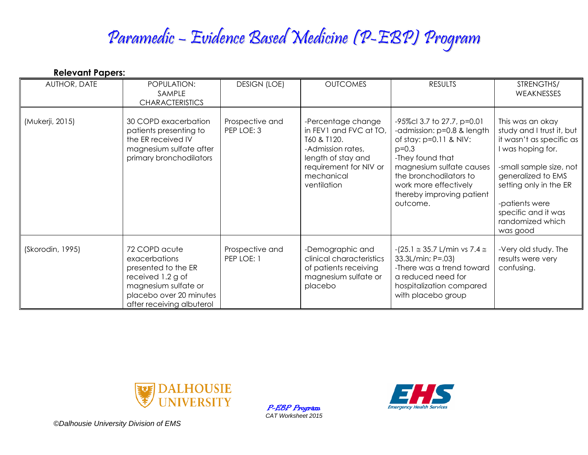# Paramedic – Evidence Based Medicine (P-EBP) Program

| <b>Relevant Papers:</b> |                                                                                                                                                            |                               |                                                                                                                                                               |                                                                                                                                                                                                                                             |                                                                                                                                                                                                                                                    |
|-------------------------|------------------------------------------------------------------------------------------------------------------------------------------------------------|-------------------------------|---------------------------------------------------------------------------------------------------------------------------------------------------------------|---------------------------------------------------------------------------------------------------------------------------------------------------------------------------------------------------------------------------------------------|----------------------------------------------------------------------------------------------------------------------------------------------------------------------------------------------------------------------------------------------------|
| AUTHOR, DATE            | POPULATION:<br>SAMPLE<br><b>CHARACTERISTICS</b>                                                                                                            | <b>DESIGN (LOE)</b>           | <b>OUTCOMES</b>                                                                                                                                               | <b>RESULTS</b>                                                                                                                                                                                                                              | STRENGTHS/<br>WEAKNESSES                                                                                                                                                                                                                           |
| (Mukerji, 2015)         | 30 COPD exacerbation<br>patients presenting to<br>the ER received IV<br>magnesium sulfate after<br>primary bronchodilators                                 | Prospective and<br>PEP LOE: 3 | -Percentage change<br>in FEV1 and FVC at TO,<br>T60 & T120.<br>-Admission rates,<br>length of stay and<br>requirement for NIV or<br>mechanical<br>ventilation | -95%cl 3.7 to 27.7, p=0.01<br>-admission: p=0.8 & length<br>of stay: $p=0.11$ & NIV:<br>$p=0.3$<br>-They found that<br>magnesium sulfate causes<br>the bronchodilators to<br>work more effectively<br>thereby improving patient<br>outcome. | This was an okay<br>study and I trust it, but<br>it wasn't as specific as<br>I was hoping for.<br>-small sample size, not<br>generalized to EMS<br>setting only in the ER<br>-patients were<br>specific and it was<br>randomized which<br>was good |
| (Skorodin, 1995)        | 72 COPD acute<br>exacerbations<br>presented to the ER<br>received 1.2 g of<br>magnesium sulfate or<br>placebo over 20 minutes<br>after receiving albuterol | Prospective and<br>PEP LOE: 1 | -Demographic and<br>clinical characteristics<br>of patients receiving<br>magnesium sulfate or<br>placebo                                                      | $-(25.1 \approx 35.7 \text{ L/min vs } 7.4 \approx$<br>33.3L/min; P=.03)<br>-There was a trend toward<br>a reduced need for<br>hospitalization compared<br>with placebo group                                                               | -Very old study. The<br>results were very<br>confusing.                                                                                                                                                                                            |



P-EBP Program *CAT Worksheet 2015*



*©Dalhousie University Division of EMS*